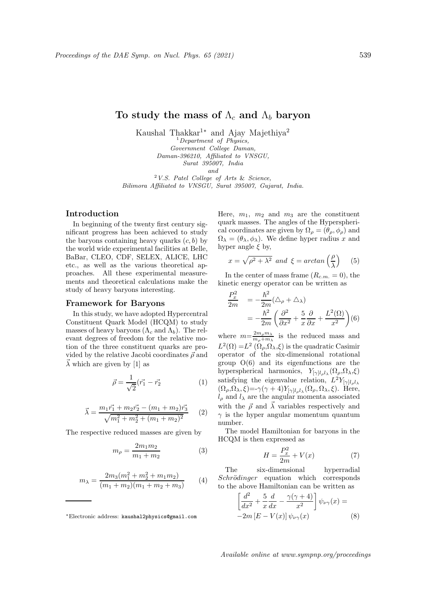# To study the mass of  $\Lambda_c$  and  $\Lambda_b$  baryon

Kaushal Thakkar<sup>1</sup><sup>∗</sup> and Ajay Majethiya<sup>2</sup>

 ${}^{1}$ Department of Physics, Government College Daman, Daman-396210, Affiliated to VNSGU,

Surat 395007, India

and

<sup>2</sup>V.S. Patel College of Arts & Science, Bilimora Affiliated to VNSGU, Surat 395007, Gujarat, India.

## Introduction

In beginning of the twenty first century significant progress has been achieved to study the baryons containing heavy quarks  $(c, b)$  by the world wide experimental facilities at Belle, BaBar, CLEO, CDF, SELEX, ALICE, LHC etc., as well as the various theoretical approaches. All these experimental measurements and theoretical calculations make the study of heavy baryons interesting.

#### Framework for Baryons

In this study, we have adopted Hypercentral Constituent Quark Model (HCQM) to study masses of heavy baryons  $(\Lambda_c \text{ and } \Lambda_b)$ . The relevant degrees of freedom for the relative motion of the three constituent quarks are provided by the relative Jacobi coordinates  $\vec{\rho}$  and  $\vec{\lambda}$  which are given by [1] as

$$
\vec{\rho} = \frac{1}{\sqrt{2}} (\vec{r_1} - \vec{r_2})
$$
 (1)

$$
\vec{\lambda} = \frac{m_1 \vec{r_1} + m_2 \vec{r_2} - (m_1 + m_2) \vec{r_3}}{\sqrt{m_1^2 + m_2^2 + (m_1 + m_2)^2}} \qquad (2)
$$

The respective reduced masses are given by

$$
m_{\rho} = \frac{2m_1m_2}{m_1 + m_2} \tag{3}
$$

$$
m_{\lambda} = \frac{2m_3(m_1^2 + m_2^2 + m_1 m_2)}{(m_1 + m_2)(m_1 + m_2 + m_3)} \tag{4}
$$

Here,  $m_1$ ,  $m_2$  and  $m_3$  are the constituent quark masses. The angles of the Hyperspherical coordinates are given by  $\Omega_{\rho} = (\theta_{\rho}, \phi_{\rho})$  and  $\Omega_{\lambda} = (\theta_{\lambda}, \phi_{\lambda}).$  We define hyper radius x and hyper angle  $\xi$  by,

$$
x = \sqrt{\rho^2 + \lambda^2} \text{ and } \xi = \arctan\left(\frac{\rho}{\lambda}\right) \quad (5)
$$

In the center of mass frame  $(R_{c.m.} = 0)$ , the kinetic energy operator can be written as

$$
\frac{P_x^2}{2m} = -\frac{\hbar^2}{2m} (\Delta_\rho + \Delta_\lambda)
$$
  
=  $-\frac{\hbar^2}{2m} \left( \frac{\partial^2}{\partial x^2} + \frac{5}{x} \frac{\partial}{\partial x} + \frac{L^2(\Omega)}{x^2} \right) (6)$ 

where  $m=\frac{2m_\rho m_\lambda}{m_1+m_2}$  $\frac{2m_{\rho}m_{\lambda}}{m_{\rho}+m_{\lambda}}$  is the reduced mass and  $L^2(\Omega) = L^2(\Omega_\rho, \Omega_\lambda, \xi)$  is the quadratic Casimir operator of the six-dimensional rotational group O(6) and its eigenfunctions are the hyperspherical harmonics,  $Y_{[\gamma]l_{\rho}l_{\lambda}}(\Omega_{\rho},\Omega_{\lambda},\xi)$ satisfying the eigenvalue relation,  $L^2 Y_{[\gamma]l_{\rho}l_{\lambda}}$  $(\Omega_{\rho}, \Omega_{\lambda}, \xi) = -\gamma (\gamma + 4) Y_{[\gamma]l_{\rho}l_{\lambda}}(\Omega_{\rho}, \Omega_{\lambda}, \xi)$ . Here,  $l<sub>o</sub>$  and  $l<sub>\lambda</sub>$  are the angular momenta associated with the  $\vec{\rho}$  and  $\vec{\lambda}$  variables respectively and  $\gamma$  is the hyper angular momentum quantum number.

The model Hamiltonian for baryons in the HCQM is then expressed as

$$
H = \frac{P_x^2}{2m} + V(x) \tag{7}
$$

The six-dimensional hyperradial Schrödinger equation which corresponds to the above Hamiltonian can be written as

$$
\left[\frac{d^2}{dx^2} + \frac{5}{x}\frac{d}{dx} - \frac{\gamma(\gamma + 4)}{x^2}\right]\psi_{\nu\gamma}(x) = -2m\left[E - V(x)\right]\psi_{\nu\gamma}(x) \tag{8}
$$

Available online at www.sympnp.org/proceedings

<sup>∗</sup>Electronic address: kaushal2physics@gmail.com